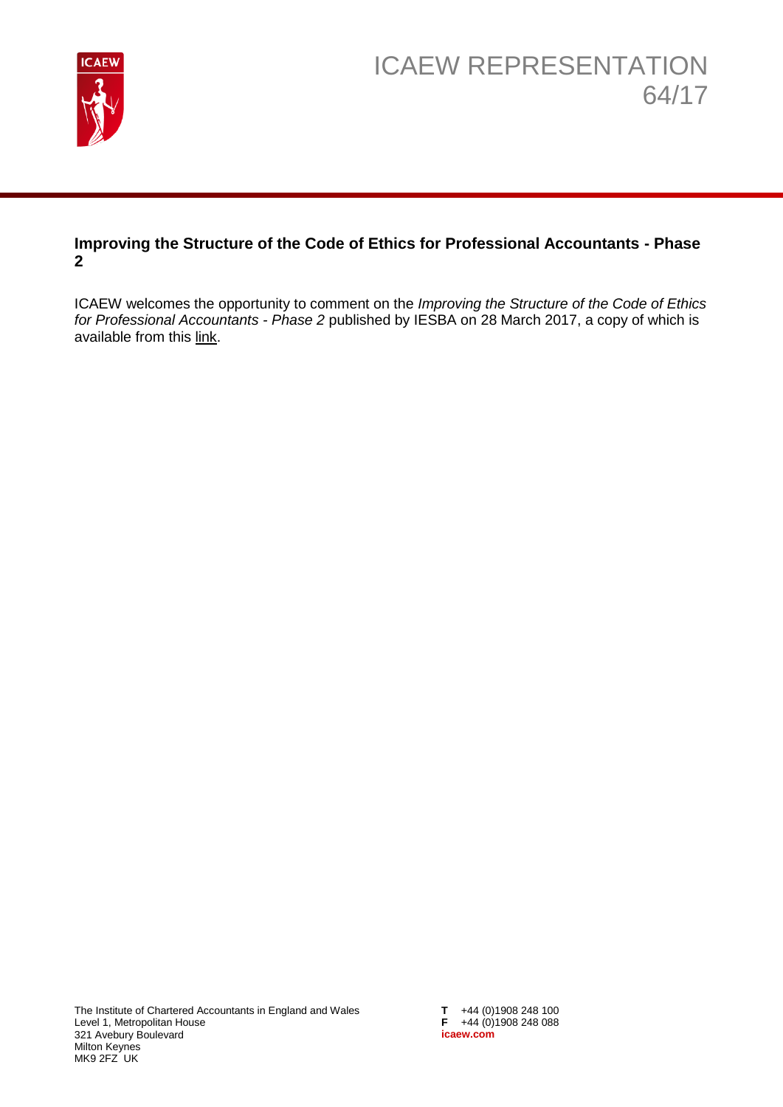

### **Improving the Structure of the Code of Ethics for Professional Accountants - Phase 2**

ICAEW welcomes the opportunity to comment on the *Improving the Structure of the Code of Ethics for Professional Accountants - Phase 2* published by IESBA on 28 March 2017, a copy of which is available from this [link.](http://www.ifac.org/publications-resources/improving-structure-code-ethics-professional-accountants-phase-2)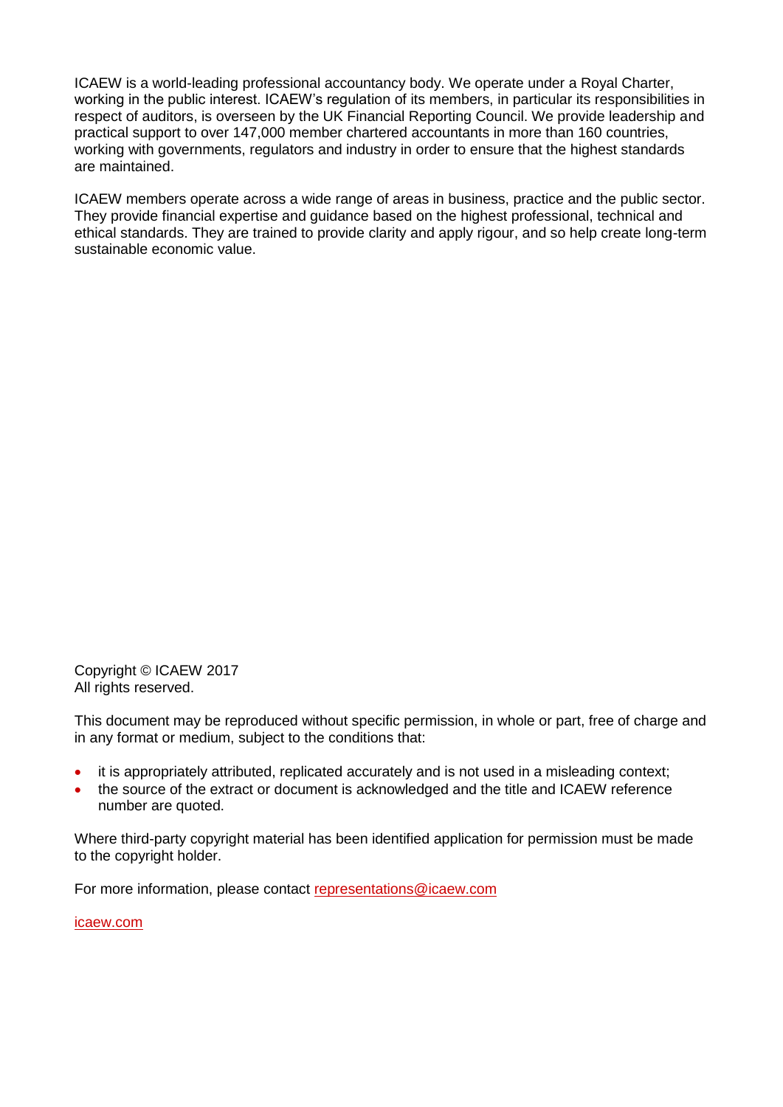ICAEW is a world-leading professional accountancy body. We operate under a Royal Charter, working in the public interest. ICAEW's regulation of its members, in particular its responsibilities in respect of auditors, is overseen by the UK Financial Reporting Council. We provide leadership and practical support to over 147,000 member chartered accountants in more than 160 countries, working with governments, regulators and industry in order to ensure that the highest standards are maintained.

ICAEW members operate across a wide range of areas in business, practice and the public sector. They provide financial expertise and guidance based on the highest professional, technical and ethical standards. They are trained to provide clarity and apply rigour, and so help create long-term sustainable economic value.

Copyright © ICAEW 2017 All rights reserved.

This document may be reproduced without specific permission, in whole or part, free of charge and in any format or medium, subject to the conditions that:

- it is appropriately attributed, replicated accurately and is not used in a misleading context;
- the source of the extract or document is acknowledged and the title and ICAEW reference number are quoted.

Where third-party copyright material has been identified application for permission must be made to the copyright holder.

For more information, please contact [representations@icaew.com](mailto:representations@icaew.com)

[icaew.com](http://www.icaew.com/)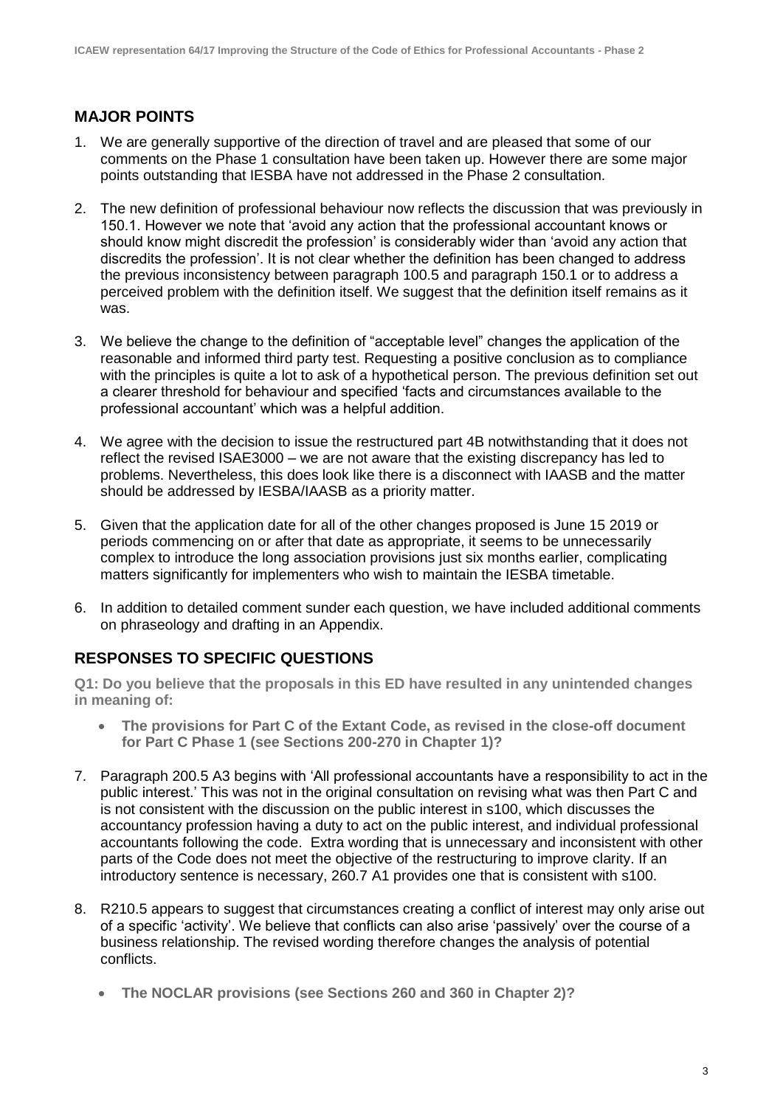## **MAJOR POINTS**

- 1. We are generally supportive of the direction of travel and are pleased that some of our comments on the Phase 1 consultation have been taken up. However there are some major points outstanding that IESBA have not addressed in the Phase 2 consultation.
- 2. The new definition of professional behaviour now reflects the discussion that was previously in 150.1. However we note that 'avoid any action that the professional accountant knows or should know might discredit the profession' is considerably wider than 'avoid any action that discredits the profession'. It is not clear whether the definition has been changed to address the previous inconsistency between paragraph 100.5 and paragraph 150.1 or to address a perceived problem with the definition itself. We suggest that the definition itself remains as it was.
- 3. We believe the change to the definition of "acceptable level" changes the application of the reasonable and informed third party test. Requesting a positive conclusion as to compliance with the principles is quite a lot to ask of a hypothetical person. The previous definition set out a clearer threshold for behaviour and specified 'facts and circumstances available to the professional accountant' which was a helpful addition.
- 4. We agree with the decision to issue the restructured part 4B notwithstanding that it does not reflect the revised ISAE3000 – we are not aware that the existing discrepancy has led to problems. Nevertheless, this does look like there is a disconnect with IAASB and the matter should be addressed by IESBA/IAASB as a priority matter.
- 5. Given that the application date for all of the other changes proposed is June 15 2019 or periods commencing on or after that date as appropriate, it seems to be unnecessarily complex to introduce the long association provisions just six months earlier, complicating matters significantly for implementers who wish to maintain the IESBA timetable.
- 6. In addition to detailed comment sunder each question, we have included additional comments on phraseology and drafting in an Appendix.

# **RESPONSES TO SPECIFIC QUESTIONS**

**Q1: Do you believe that the proposals in this ED have resulted in any unintended changes in meaning of:**

- **The provisions for Part C of the Extant Code, as revised in the close-off document for Part C Phase 1 (see Sections 200-270 in Chapter 1)?**
- 7. Paragraph 200.5 A3 begins with 'All professional accountants have a responsibility to act in the public interest.' This was not in the original consultation on revising what was then Part C and is not consistent with the discussion on the public interest in s100, which discusses the accountancy profession having a duty to act on the public interest, and individual professional accountants following the code. Extra wording that is unnecessary and inconsistent with other parts of the Code does not meet the objective of the restructuring to improve clarity. If an introductory sentence is necessary, 260.7 A1 provides one that is consistent with s100.
- 8. R210.5 appears to suggest that circumstances creating a conflict of interest may only arise out of a specific 'activity'. We believe that conflicts can also arise 'passively' over the course of a business relationship. The revised wording therefore changes the analysis of potential conflicts.
	- **The NOCLAR provisions (see Sections 260 and 360 in Chapter 2)?**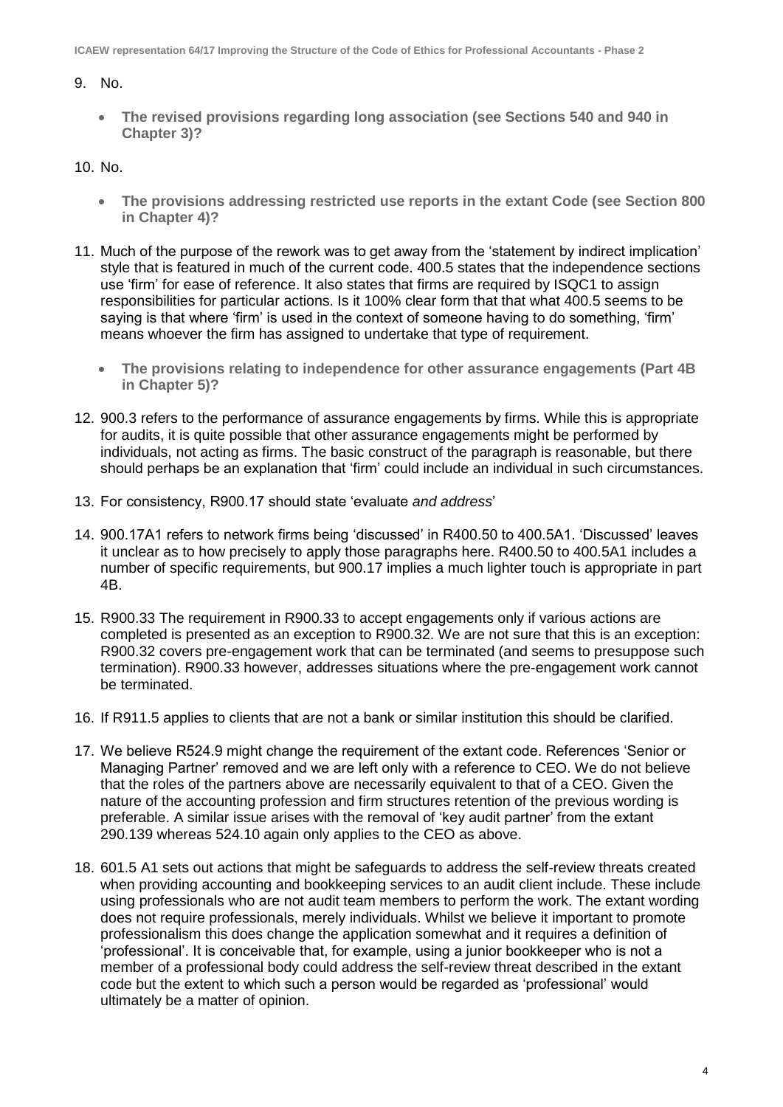#### 9. No.

 **The revised provisions regarding long association (see Sections 540 and 940 in Chapter 3)?**

#### 10. No.

- **The provisions addressing restricted use reports in the extant Code (see Section 800 in Chapter 4)?**
- 11. Much of the purpose of the rework was to get away from the 'statement by indirect implication' style that is featured in much of the current code. 400.5 states that the independence sections use 'firm' for ease of reference. It also states that firms are required by ISQC1 to assign responsibilities for particular actions. Is it 100% clear form that that what 400.5 seems to be saying is that where 'firm' is used in the context of someone having to do something, 'firm' means whoever the firm has assigned to undertake that type of requirement.
	- **The provisions relating to independence for other assurance engagements (Part 4B in Chapter 5)?**
- 12. 900.3 refers to the performance of assurance engagements by firms. While this is appropriate for audits, it is quite possible that other assurance engagements might be performed by individuals, not acting as firms. The basic construct of the paragraph is reasonable, but there should perhaps be an explanation that 'firm' could include an individual in such circumstances.
- 13. For consistency, R900.17 should state 'evaluate *and address*'
- 14. 900.17A1 refers to network firms being 'discussed' in R400.50 to 400.5A1. 'Discussed' leaves it unclear as to how precisely to apply those paragraphs here. R400.50 to 400.5A1 includes a number of specific requirements, but 900.17 implies a much lighter touch is appropriate in part 4B.
- 15. R900.33 The requirement in R900.33 to accept engagements only if various actions are completed is presented as an exception to R900.32. We are not sure that this is an exception: R900.32 covers pre-engagement work that can be terminated (and seems to presuppose such termination). R900.33 however, addresses situations where the pre-engagement work cannot be terminated.
- 16. If R911.5 applies to clients that are not a bank or similar institution this should be clarified.
- 17. We believe R524.9 might change the requirement of the extant code. References 'Senior or Managing Partner' removed and we are left only with a reference to CEO. We do not believe that the roles of the partners above are necessarily equivalent to that of a CEO. Given the nature of the accounting profession and firm structures retention of the previous wording is preferable. A similar issue arises with the removal of 'key audit partner' from the extant 290.139 whereas 524.10 again only applies to the CEO as above.
- 18. 601.5 A1 sets out actions that might be safeguards to address the self-review threats created when providing accounting and bookkeeping services to an audit client include. These include using professionals who are not audit team members to perform the work. The extant wording does not require professionals, merely individuals. Whilst we believe it important to promote professionalism this does change the application somewhat and it requires a definition of 'professional'. It is conceivable that, for example, using a junior bookkeeper who is not a member of a professional body could address the self-review threat described in the extant code but the extent to which such a person would be regarded as 'professional' would ultimately be a matter of opinion.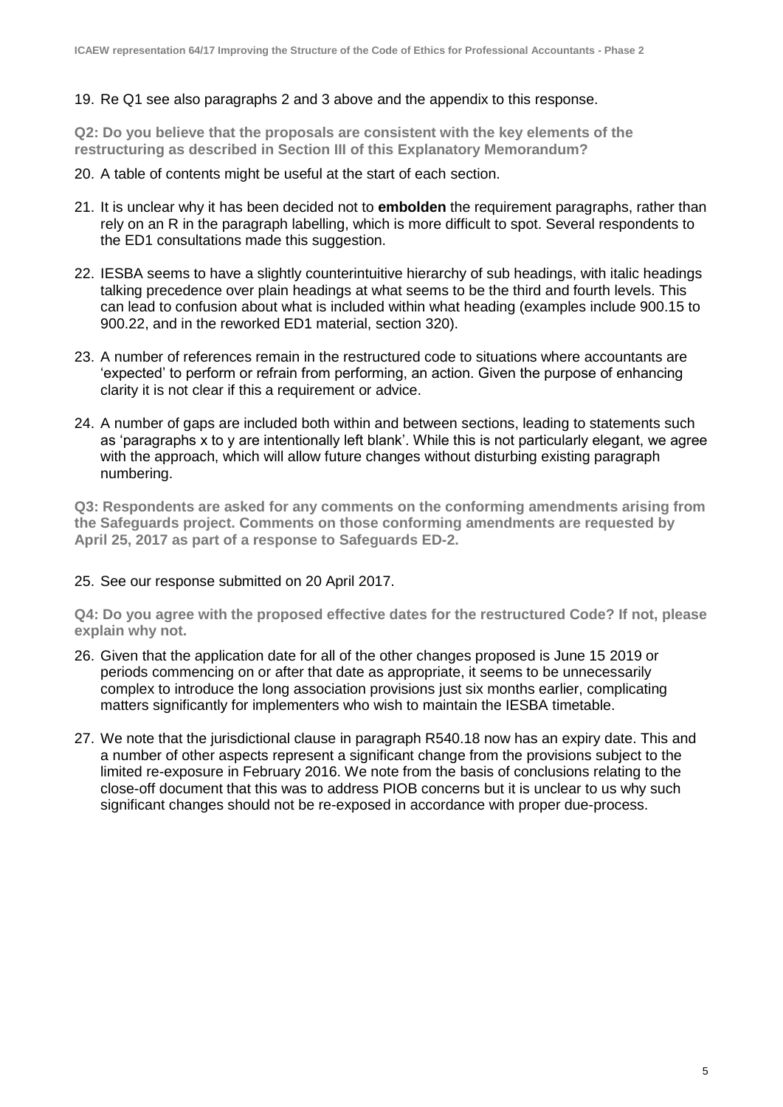#### 19. Re Q1 see also paragraphs 2 and 3 above and the appendix to this response.

**Q2: Do you believe that the proposals are consistent with the key elements of the restructuring as described in Section III of this Explanatory Memorandum?**

- 20. A table of contents might be useful at the start of each section.
- 21. It is unclear why it has been decided not to **embolden** the requirement paragraphs, rather than rely on an R in the paragraph labelling, which is more difficult to spot. Several respondents to the ED1 consultations made this suggestion.
- 22. IESBA seems to have a slightly counterintuitive hierarchy of sub headings, with italic headings talking precedence over plain headings at what seems to be the third and fourth levels. This can lead to confusion about what is included within what heading (examples include 900.15 to 900.22, and in the reworked ED1 material, section 320).
- 23. A number of references remain in the restructured code to situations where accountants are 'expected' to perform or refrain from performing, an action. Given the purpose of enhancing clarity it is not clear if this a requirement or advice.
- 24. A number of gaps are included both within and between sections, leading to statements such as 'paragraphs x to y are intentionally left blank'. While this is not particularly elegant, we agree with the approach, which will allow future changes without disturbing existing paragraph numbering.

**Q3: Respondents are asked for any comments on the conforming amendments arising from the Safeguards project. Comments on those conforming amendments are requested by April 25, 2017 as part of a response to Safeguards ED-2.**

#### 25. See our response submitted on 20 April 2017.

**Q4: Do you agree with the proposed effective dates for the restructured Code? If not, please explain why not.**

- 26. Given that the application date for all of the other changes proposed is June 15 2019 or periods commencing on or after that date as appropriate, it seems to be unnecessarily complex to introduce the long association provisions just six months earlier, complicating matters significantly for implementers who wish to maintain the IESBA timetable.
- 27. We note that the jurisdictional clause in paragraph R540.18 now has an expiry date. This and a number of other aspects represent a significant change from the provisions subject to the limited re-exposure in February 2016. We note from the basis of conclusions relating to the close-off document that this was to address PIOB concerns but it is unclear to us why such significant changes should not be re-exposed in accordance with proper due-process.